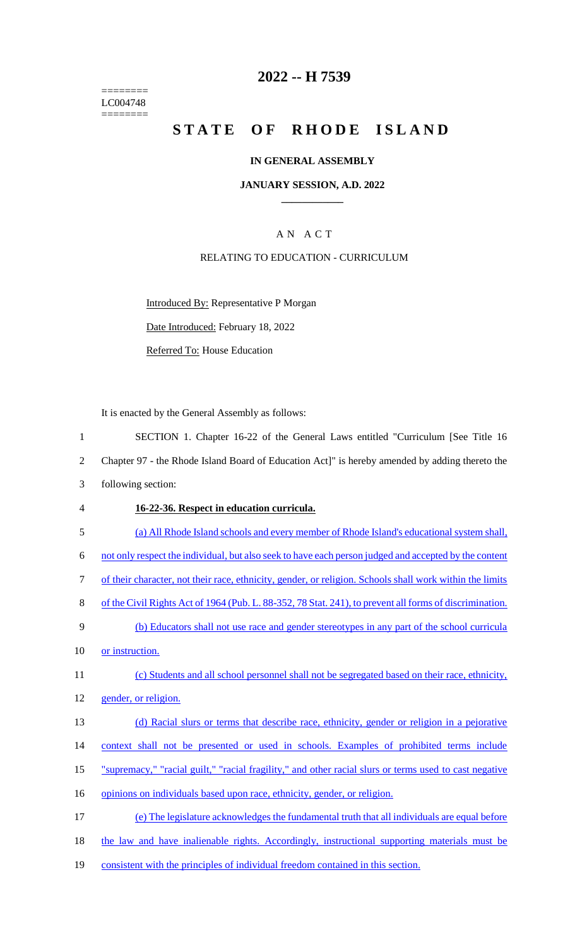======== LC004748  $=$ 

## **2022 -- H 7539**

# STATE OF RHODE ISLAND

#### **IN GENERAL ASSEMBLY**

#### **JANUARY SESSION, A.D. 2022 \_\_\_\_\_\_\_\_\_\_\_\_**

## A N A C T

## RELATING TO EDUCATION - CURRICULUM

Introduced By: Representative P Morgan

Date Introduced: February 18, 2022

Referred To: House Education

It is enacted by the General Assembly as follows:

| $\mathbf{1}$   | SECTION 1. Chapter 16-22 of the General Laws entitled "Curriculum [See Title 16                          |
|----------------|----------------------------------------------------------------------------------------------------------|
| $\overline{2}$ | Chapter 97 - the Rhode Island Board of Education Act]" is hereby amended by adding thereto the           |
| 3              | following section:                                                                                       |
| $\overline{4}$ | 16-22-36. Respect in education curricula.                                                                |
| 5              | (a) All Rhode Island schools and every member of Rhode Island's educational system shall,                |
| 6              | not only respect the individual, but also seek to have each person judged and accepted by the content    |
| $\tau$         | of their character, not their race, ethnicity, gender, or religion. Schools shall work within the limits |
| $8\,$          | of the Civil Rights Act of 1964 (Pub. L. 88-352, 78 Stat. 241), to prevent all forms of discrimination.  |
| 9              | (b) Educators shall not use race and gender stereotypes in any part of the school curricula              |
| 10             | or instruction.                                                                                          |
| 11             | (c) Students and all school personnel shall not be segregated based on their race, ethnicity,            |
| 12             | gender, or religion.                                                                                     |
| 13             | (d) Racial slurs or terms that describe race, ethnicity, gender or religion in a pejorative              |
| 14             | context shall not be presented or used in schools. Examples of prohibited terms include                  |
| 15             | "supremacy," "racial guilt," "racial fragility," and other racial slurs or terms used to cast negative   |
| 16             | opinions on individuals based upon race, ethnicity, gender, or religion.                                 |
| 17             | (e) The legislature acknowledges the fundamental truth that all individuals are equal before             |
| 18             | the law and have inalienable rights. Accordingly, instructional supporting materials must be             |
| 19             | consistent with the principles of individual freedom contained in this section.                          |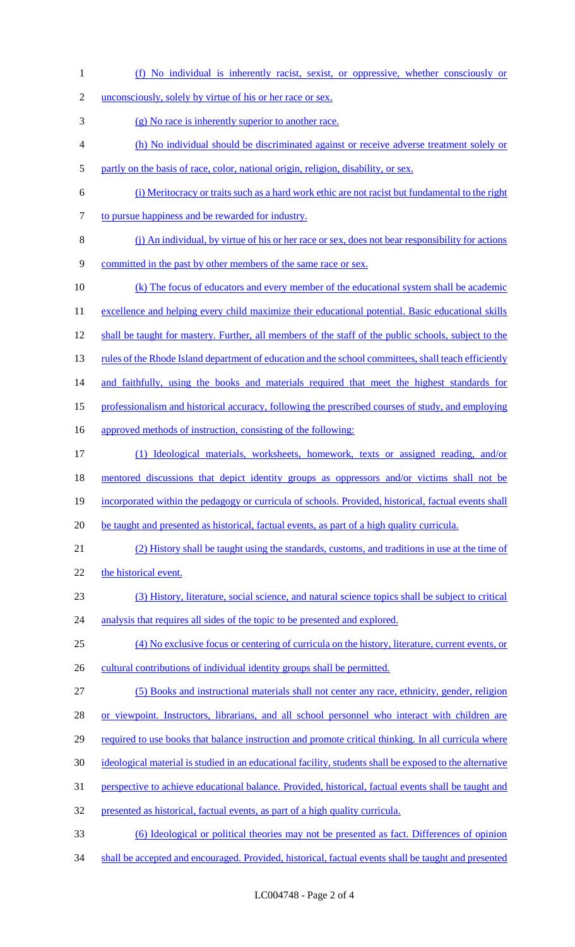- (f) No individual is inherently racist, sexist, or oppressive, whether consciously or
- 2 unconsciously, solely by virtue of his or her race or sex.
- (g) No race is inherently superior to another race.
- (h) No individual should be discriminated against or receive adverse treatment solely or
- partly on the basis of race, color, national origin, religion, disability, or sex.
- (i) Meritocracy or traits such as a hard work ethic are not racist but fundamental to the right to pursue happiness and be rewarded for industry.
- (j) An individual, by virtue of his or her race or sex, does not bear responsibility for actions
- committed in the past by other members of the same race or sex.
- (k) The focus of educators and every member of the educational system shall be academic 11 excellence and helping every child maximize their educational potential. Basic educational skills shall be taught for mastery. Further, all members of the staff of the public schools, subject to the 13 rules of the Rhode Island department of education and the school committees, shall teach efficiently 14 and faithfully, using the books and materials required that meet the highest standards for professionalism and historical accuracy, following the prescribed courses of study, and employing approved methods of instruction, consisting of the following: (1) Ideological materials, worksheets, homework, texts or assigned reading, and/or 18 mentored discussions that depict identity groups as oppressors and/or victims shall not be incorporated within the pedagogy or curricula of schools. Provided, historical, factual events shall 20 be taught and presented as historical, factual events, as part of a high quality curricula. (2) History shall be taught using the standards, customs, and traditions in use at the time of
- 22 the historical event.
- (3) History, literature, social science, and natural science topics shall be subject to critical
- 24 analysis that requires all sides of the topic to be presented and explored.
- (4) No exclusive focus or centering of curricula on the history, literature, current events, or 26 cultural contributions of individual identity groups shall be permitted.
- 
- (5) Books and instructional materials shall not center any race, ethnicity, gender, religion
- 28 or viewpoint. Instructors, librarians, and all school personnel who interact with children are
- required to use books that balance instruction and promote critical thinking. In all curricula where
- ideological material is studied in an educational facility, students shall be exposed to the alternative
- perspective to achieve educational balance. Provided, historical, factual events shall be taught and
- presented as historical, factual events, as part of a high quality curricula.
- (6) Ideological or political theories may not be presented as fact. Differences of opinion
- shall be accepted and encouraged. Provided, historical, factual events shall be taught and presented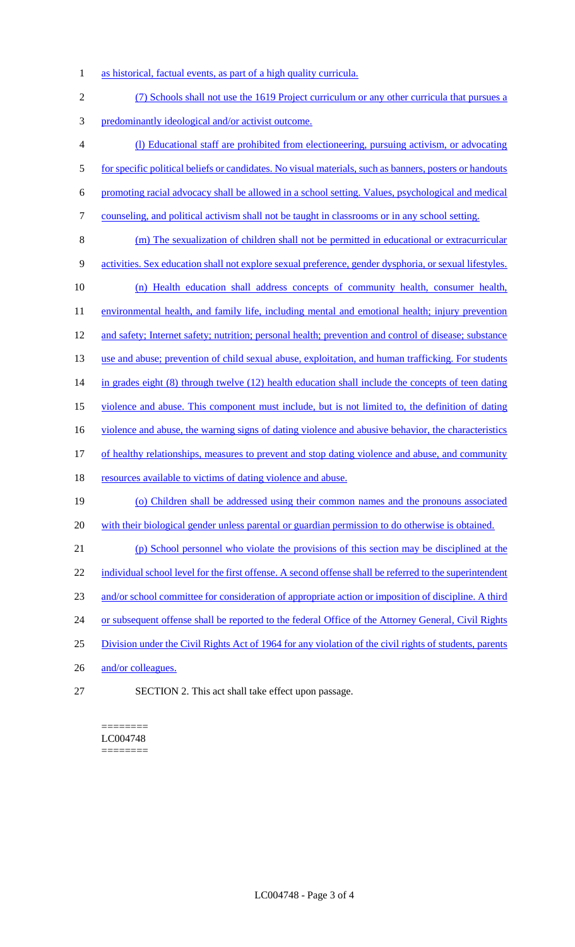- 1 as historical, factual events, as part of a high quality curricula.
- 2 (7) Schools shall not use the 1619 Project curriculum or any other curricula that pursues a 3 predominantly ideological and/or activist outcome. 4 (l) Educational staff are prohibited from electioneering, pursuing activism, or advocating 5 for specific political beliefs or candidates. No visual materials, such as banners, posters or handouts 6 promoting racial advocacy shall be allowed in a school setting. Values, psychological and medical 7 counseling, and political activism shall not be taught in classrooms or in any school setting. 8 (m) The sexualization of children shall not be permitted in educational or extracurricular 9 activities. Sex education shall not explore sexual preference, gender dysphoria, or sexual lifestyles. 10 (n) Health education shall address concepts of community health, consumer health, 11 environmental health, and family life, including mental and emotional health; injury prevention 12 and safety; Internet safety; nutrition; personal health; prevention and control of disease; substance 13 use and abuse; prevention of child sexual abuse, exploitation, and human trafficking. For students 14 in grades eight (8) through twelve (12) health education shall include the concepts of teen dating 15 violence and abuse. This component must include, but is not limited to, the definition of dating 16 violence and abuse, the warning signs of dating violence and abusive behavior, the characteristics 17 of healthy relationships, measures to prevent and stop dating violence and abuse, and community 18 resources available to victims of dating violence and abuse. 19 (o) Children shall be addressed using their common names and the pronouns associated 20 with their biological gender unless parental or guardian permission to do otherwise is obtained. 21 (p) School personnel who violate the provisions of this section may be disciplined at the 22 individual school level for the first offense. A second offense shall be referred to the superintendent 23 and/or school committee for consideration of appropriate action or imposition of discipline. A third 24 or subsequent offense shall be reported to the federal Office of the Attorney General, Civil Rights 25 Division under the Civil Rights Act of 1964 for any violation of the civil rights of students, parents 26 and/or colleagues. 27 SECTION 2. This act shall take effect upon passage.

#### ======== LC004748 ========